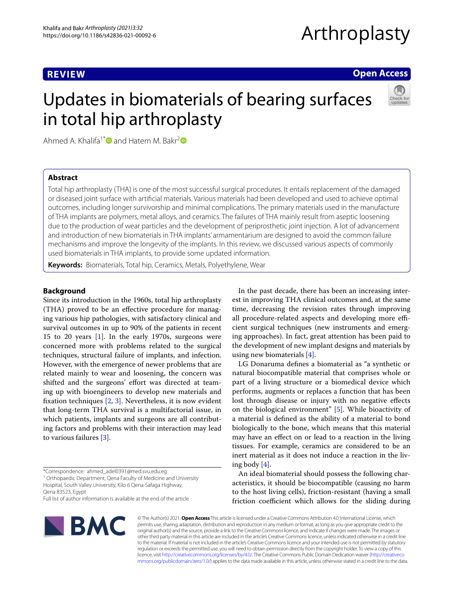# **REVIEW**

**Open Access**

# Updates in biomaterials of bearing surfaces in total hip arthroplasty



Ahmed A. Khalifa<sup>1[\\*](http://orcid.org/0000-0002-0710-6487)</sup> and Hatem M. Bakr<sup>[2](http://orcid.org/0000-0002-5617-3280)</sup>

# **Abstract**

Total hip arthroplasty (THA) is one of the most successful surgical procedures. It entails replacement of the damaged or diseased joint surface with artifcial materials. Various materials had been developed and used to achieve optimal outcomes, including longer survivorship and minimal complications. The primary materials used in the manufacture of THA implants are polymers, metal alloys, and ceramics. The failures of THA mainly result from aseptic loosening due to the production of wear particles and the development of periprosthetic joint injection. A lot of advancement and introduction of new biomaterials in THA implants' armamentarium are designed to avoid the common failure mechanisms and improve the longevity of the implants. In this review, we discussed various aspects of commonly used biomaterials in THA implants, to provide some updated information.

**Keywords:** Biomaterials, Total hip, Ceramics, Metals, Polyethylene, Wear

# **Background**

Since its introduction in the 1960s, total hip arthroplasty (THA) proved to be an efective procedure for managing various hip pathologies, with satisfactory clinical and survival outcomes in up to 90% of the patients in recent 15 to 20 years [\[1\]](#page-6-0). In the early 1970s, surgeons were concerned more with problems related to the surgical techniques, structural failure of implants, and infection. However, with the emergence of newer problems that are related mainly to wear and loosening, the concern was shifted and the surgeons' effort was directed at teaming up with bioengineers to develop new materials and fxation techniques [\[2,](#page-6-1) [3\]](#page-6-2). Nevertheless, it is now evident that long-term THA survival is a multifactorial issue, in which patients, implants and surgeons are all contributing factors and problems with their interaction may lead to various failures [[3\]](#page-6-2).

\*Correspondence: ahmed\_adel0391@med.svu.edu.eg

<sup>1</sup> Orthopaedic Department, Qena Faculty of Medicine and University Hospital, South Valley University, Kilo 6 Qena‑Safaga Highway, Qena 83523, Egypt

In the past decade, there has been an increasing interest in improving THA clinical outcomes and, at the same time, decreasing the revision rates through improving all procedure-related aspects and developing more efficient surgical techniques (new instruments and emerging approaches). In fact, great attention has been paid to the development of new implant designs and materials by using new biomaterials [\[4](#page-6-3)].

LG Donaruma defnes a biomaterial as "a synthetic or natural biocompatible material that comprises whole or part of a living structure or a biomedical device which performs, augments or replaces a function that has been lost through disease or injury with no negative efects on the biological environment" [[5\]](#page-6-4). While bioactivity of a material is defned as the ability of a material to bond biologically to the bone, which means that this material may have an efect on or lead to a reaction in the living tissues. For example, ceramics are considered to be an inert material as it does not induce a reaction in the living body [[4\]](#page-6-3).

An ideal biomaterial should possess the following characteristics, it should be biocompatible (causing no harm to the host living cells), friction-resistant (having a small friction coefficient which allows for the sliding during



© The Author(s) 2021. **Open Access** This article is licensed under a Creative Commons Attribution 4.0 International License, which permits use, sharing, adaptation, distribution and reproduction in any medium or format, as long as you give appropriate credit to the original author(s) and the source, provide a link to the Creative Commons licence, and indicate if changes were made. The images or other third party material in this article are included in the article's Creative Commons licence, unless indicated otherwise in a credit line to the material. If material is not included in the article's Creative Commons licence and your intended use is not permitted by statutory regulation or exceeds the permitted use, you will need to obtain permission directly from the copyright holder. To view a copy of this licence, visit [http://creativecommons.org/licenses/by/4.0/.](http://creativecommons.org/licenses/by/4.0/) The Creative Commons Public Domain Dedication waiver ([http://creativeco](http://creativecommons.org/publicdomain/zero/1.0/) [mmons.org/publicdomain/zero/1.0/](http://creativecommons.org/publicdomain/zero/1.0/)) applies to the data made available in this article, unless otherwise stated in a credit line to the data.

Full list of author information is available at the end of the article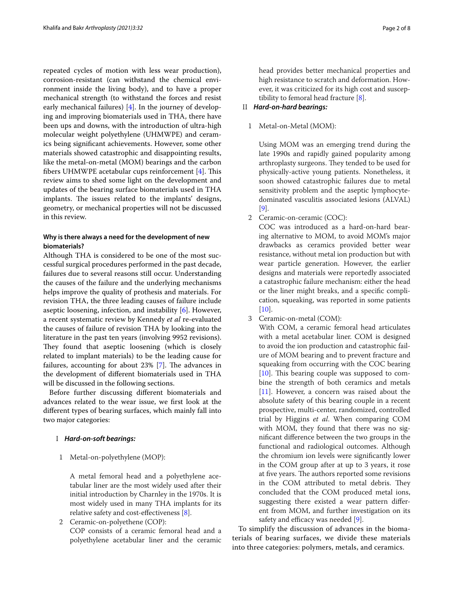repeated cycles of motion with less wear production), corrosion-resistant (can withstand the chemical environment inside the living body), and to have a proper mechanical strength (to withstand the forces and resist early mechanical failures) [\[4](#page-6-3)]. In the journey of developing and improving biomaterials used in THA, there have been ups and downs, with the introduction of ultra-high molecular weight polyethylene (UHMWPE) and ceramics being signifcant achievements. However, some other materials showed catastrophic and disappointing results, like the metal-on-metal (MOM) bearings and the carbon fibers UHMWPE acetabular cups reinforcement  $[4]$  $[4]$ . This review aims to shed some light on the development and updates of the bearing surface biomaterials used in THA implants. The issues related to the implants' designs, geometry, or mechanical properties will not be discussed in this review.

# **Why is there always a need for the development of new biomaterials?**

Although THA is considered to be one of the most successful surgical procedures performed in the past decade, failures due to several reasons still occur. Understanding the causes of the failure and the underlying mechanisms helps improve the quality of prothesis and materials. For revision THA, the three leading causes of failure include aseptic loosening, infection, and instability [[6\]](#page-6-5). However, a recent systematic review by Kennedy *et al* re-evaluated the causes of failure of revision THA by looking into the literature in the past ten years (involving 9952 revisions). They found that aseptic loosening (which is closely related to implant materials) to be the leading cause for failures, accounting for about  $23\%$  [\[7](#page-6-6)]. The advances in the development of diferent biomaterials used in THA will be discussed in the following sections.

Before further discussing diferent biomaterials and advances related to the wear issue, we frst look at the diferent types of bearing surfaces, which mainly fall into two major categories:

#### I *Hard-on-soft bearings:*

1 Metal-on-polyethylene (MOP):

A metal femoral head and a polyethylene acetabular liner are the most widely used after their initial introduction by Charnley in the 1970s. It is most widely used in many THA implants for its relative safety and cost-efectiveness [\[8](#page-6-7)].

2 Ceramic-on-polyethene (COP): COP consists of a ceramic femoral head and a polyethylene acetabular liner and the ceramic head provides better mechanical properties and high resistance to scratch and deformation. However, it was criticized for its high cost and susceptibility to femoral head fracture [[8](#page-6-7)].

# II *Hard-on-hard bearings:*

1 Metal-on-Metal (MOM):

Using MOM was an emerging trend during the late 1990s and rapidly gained popularity among arthroplasty surgeons. They tended to be used for physically-active young patients. Nonetheless, it soon showed catastrophic failures due to metal sensitivity problem and the aseptic lymphocytedominated vasculitis associated lesions (ALVAL) [[9\]](#page-6-8).

2 Ceramic-on-ceramic (COC):

COC was introduced as a hard-on-hard bearing alternative to MOM, to avoid MOM's major drawbacks as ceramics provided better wear resistance, without metal ion production but with wear particle generation. However, the earlier designs and materials were reportedly associated a catastrophic failure mechanism: either the head or the liner might breaks, and a specifc complication, squeaking, was reported in some patients [[10\]](#page-6-9).

3 Ceramic-on-metal (COM):

With COM, a ceramic femoral head articulates with a metal acetabular liner. COM is designed to avoid the ion production and catastrophic failure of MOM bearing and to prevent fracture and squeaking from occurring with the COC bearing  $[10]$  $[10]$ . This bearing couple was supposed to combine the strength of both ceramics and metals [[11\]](#page-6-10). However, a concern was raised about the absolute safety of this bearing couple in a recent prospective, multi-center, randomized, controlled trial by Higgins *et al*. When comparing COM with MOM, they found that there was no signifcant diference between the two groups in the functional and radiological outcomes. Although the chromium ion levels were signifcantly lower in the COM group after at up to 3 years, it rose at five years. The authors reported some revisions in the COM attributed to metal debris. They concluded that the COM produced metal ions, suggesting there existed a wear pattern diferent from MOM, and further investigation on its safety and efficacy was needed  $[9]$ .

To simplify the discussion of advances in the biomaterials of bearing surfaces, we divide these materials into three categories: polymers, metals, and ceramics.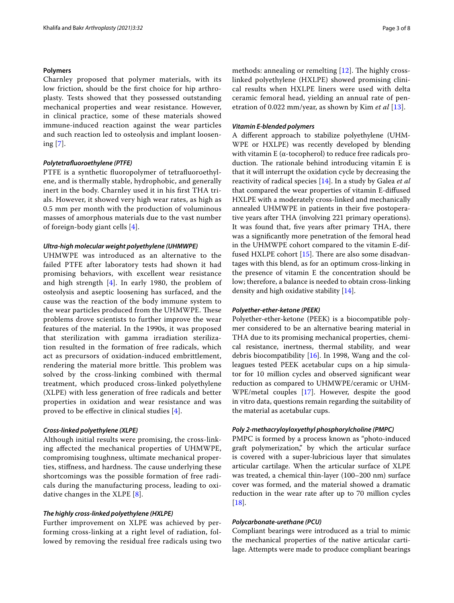### **Polymers**

Charnley proposed that polymer materials, with its low friction, should be the frst choice for hip arthroplasty. Tests showed that they possessed outstanding mechanical properties and wear resistance. However, in clinical practice, some of these materials showed immune-induced reaction against the wear particles and such reaction led to osteolysis and implant loosening [[7\]](#page-6-6).

#### *Polytetrafuoroethylene (PTFE)*

PTFE is a synthetic fuoropolymer of tetrafuoroethylene, and is thermally stable, hydrophobic, and generally inert in the body. Charnley used it in his frst THA trials. However, it showed very high wear rates, as high as 0.5 mm per month with the production of voluminous masses of amorphous materials due to the vast number of foreign-body giant cells [\[4](#page-6-3)].

#### *Ultra-high molecular weight polyethylene (UHMWPE)*

UHMWPE was introduced as an alternative to the failed PTFE after laboratory tests had shown it had promising behaviors, with excellent wear resistance and high strength  $[4]$  $[4]$ . In early 1980, the problem of osteolysis and aseptic loosening has surfaced, and the cause was the reaction of the body immune system to the wear particles produced from the UHMWPE. These problems drove scientists to further improve the wear features of the material. In the 1990s, it was proposed that sterilization with gamma irradiation sterilization resulted in the formation of free radicals, which act as precursors of oxidation-induced embrittlement, rendering the material more brittle. This problem was solved by the cross-linking combined with thermal treatment, which produced cross-linked polyethylene (XLPE) with less generation of free radicals and better properties in oxidation and wear resistance and was proved to be efective in clinical studies [\[4](#page-6-3)].

#### *Cross-linked polyethylene (XLPE)*

Although initial results were promising, the cross-linking afected the mechanical properties of UHMWPE, compromising toughness, ultimate mechanical properties, stiffness, and hardness. The cause underlying these shortcomings was the possible formation of free radicals during the manufacturing process, leading to oxidative changes in the XLPE [\[8](#page-6-7)].

#### *The highly cross-linked polyethylene (HXLPE)*

Further improvement on XLPE was achieved by performing cross-linking at a right level of radiation, followed by removing the residual free radicals using two methods: annealing or remelting  $[12]$  $[12]$  $[12]$ . The highly crosslinked polyethylene (HXLPE) showed promising clinical results when HXLPE liners were used with delta ceramic femoral head, yielding an annual rate of penetration of 0.022 mm/year, as shown by Kim *et al* [\[13\]](#page-6-12).

#### *Vitamin E-blended polymers*

A diferent approach to stabilize polyethylene (UHM-WPE or HXLPE) was recently developed by blending with vitamin E ( $\alpha$ -tocopherol) to reduce free radicals production. The rationale behind introducing vitamin  $E$  is that it will interrupt the oxidation cycle by decreasing the reactivity of radical species [\[14](#page-6-13)]. In a study by Galea *et al* that compared the wear properties of vitamin E-difused HXLPE with a moderately cross-linked and mechanically annealed UHMWPE in patients in their fve postoperative years after THA (involving 221 primary operations). It was found that, fve years after primary THA, there was a signifcantly more penetration of the femoral head in the UHMWPE cohort compared to the vitamin E-diffused HXLPE cohort  $[15]$  $[15]$ . There are also some disadvantages with this blend, as for an optimum cross-linking in the presence of vitamin E the concentration should be low; therefore, a balance is needed to obtain cross-linking density and high oxidative stability [\[14](#page-6-13)].

#### *Polyether-ether-ketone (PEEK)*

Polyether-ether-ketone (PEEK) is a biocompatible polymer considered to be an alternative bearing material in THA due to its promising mechanical properties, chemical resistance, inertness, thermal stability, and wear debris biocompatibility [\[16](#page-6-15)]. In 1998, Wang and the colleagues tested PEEK acetabular cups on a hip simulator for 10 million cycles and observed signifcant wear reduction as compared to UHMWPE/ceramic or UHM-WPE/metal couples [[17](#page-6-16)]. However, despite the good in vitro data, questions remain regarding the suitability of the material as acetabular cups.

#### *Poly 2-methacryloyloxyethyl phosphorylcholine (PMPC)*

PMPC is formed by a process known as "photo-induced graft polymerization," by which the articular surface is covered with a super-lubricious layer that simulates articular cartilage. When the articular surface of XLPE was treated, a chemical thin-layer (100–200 nm) surface cover was formed, and the material showed a dramatic reduction in the wear rate after up to 70 million cycles [[18\]](#page-6-17).

#### *Polycarbonate-urethane (PCU)*

Compliant bearings were introduced as a trial to mimic the mechanical properties of the native articular cartilage. Attempts were made to produce compliant bearings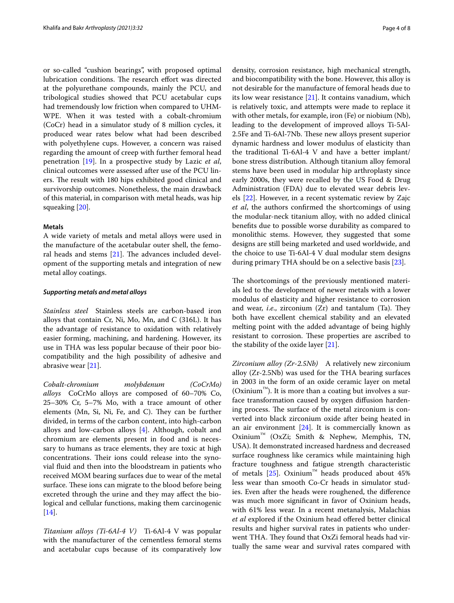or so-called "cushion bearings", with proposed optimal lubrication conditions. The research effort was directed at the polyurethane compounds, mainly the PCU, and tribological studies showed that PCU acetabular cups had tremendously low friction when compared to UHM-WPE. When it was tested with a cobalt-chromium (CoCr) head in a simulator study of 8 million cycles, it produced wear rates below what had been described with polyethylene cups. However, a concern was raised regarding the amount of creep with further femoral head penetration [[19](#page-6-18)]. In a prospective study by Lazic *et al*, clinical outcomes were assessed after use of the PCU liners. The result with 180 hips exhibited good clinical and survivorship outcomes. Nonetheless, the main drawback of this material, in comparison with metal heads, was hip squeaking [\[20](#page-6-19)].

#### **Metals**

A wide variety of metals and metal alloys were used in the manufacture of the acetabular outer shell, the femoral heads and stems  $[21]$  $[21]$  $[21]$ . The advances included development of the supporting metals and integration of new metal alloy coatings.

#### *Supporting metals and metal alloys*

*Stainless steel* Stainless steels are carbon-based iron alloys that contain Cr, Ni, Mo, Mn, and C (316L). It has the advantage of resistance to oxidation with relatively easier forming, machining, and hardening. However, its use in THA was less popular because of their poor biocompatibility and the high possibility of adhesive and abrasive wear [\[21](#page-6-20)].

*Cobalt‑chromium molybdenum (CoCrMo) alloys* CoCrMo alloys are composed of 60–70% Co, 25–30% Cr, 5–7% Mo, with a trace amount of other elements (Mn, Si, Ni, Fe, and C). They can be further divided, in terms of the carbon content, into high-carbon alloys and low-carbon alloys [[4\]](#page-6-3). Although, cobalt and chromium are elements present in food and is necessary to humans as trace elements, they are toxic at high concentrations. Their ions could release into the synovial fuid and then into the bloodstream in patients who received MOM bearing surfaces due to wear of the metal surface. These ions can migrate to the blood before being excreted through the urine and they may afect the biological and cellular functions, making them carcinogenic [[14\]](#page-6-13).

*Titanium alloys (Ti‑6Al‑4 V)* Ti-6Al-4 V was popular with the manufacturer of the cementless femoral stems and acetabular cups because of its comparatively low density, corrosion resistance, high mechanical strength, and biocompatibility with the bone. However, this alloy is not desirable for the manufacture of femoral heads due to its low wear resistance  $[21]$  $[21]$ . It contains vanadium, which is relatively toxic, and attempts were made to replace it with other metals, for example, iron (Fe) or niobium (Nb), leading to the development of improved alloys Ti-5Al-2.5Fe and Ti-6Al-7Nb. These new alloys present superior dynamic hardness and lower modulus of elasticity than the traditional Ti-6Al-4 V and have a better implant/ bone stress distribution. Although titanium alloy femoral stems have been used in modular hip arthroplasty since early 2000s, they were recalled by the US Food & Drug Administration (FDA) due to elevated wear debris levels [\[22\]](#page-6-21). However, in a recent systematic review by Zajc *et al*, the authors confrmed the shortcomings of using the modular-neck titanium alloy, with no added clinical benefts due to possible worse durability as compared to monolithic stems. However, they suggested that some designs are still being marketed and used worldwide, and the choice to use Ti-6Al-4 V dual modular stem designs during primary THA should be on a selective basis [\[23](#page-6-22)].

The shortcomings of the previously mentioned materials led to the development of newer metals with a lower modulus of elasticity and higher resistance to corrosion and wear, *i.e.*, zirconium (Zr) and tantalum (Ta). They both have excellent chemical stability and an elevated melting point with the added advantage of being highly resistant to corrosion. These properties are ascribed to the stability of the oxide layer [[21\]](#page-6-20).

*Zirconium alloy (Zr‑2.5Nb)* A relatively new zirconium alloy (Zr-2.5Nb) was used for the THA bearing surfaces in 2003 in the form of an oxide ceramic layer on metal  $(Oxinium^M)$ . It is more than a coating but involves a surface transformation caused by oxygen difusion hardening process. The surface of the metal zirconium is converted into black zirconium oxide after being heated in an air environment [\[24](#page-6-23)]. It is commercially known as Oxinium™ (OxZi; Smith & Nephew, Memphis, TN, USA). It demonstrated increased hardness and decreased surface roughness like ceramics while maintaining high fracture toughness and fatigue strength characteristic of metals  $[25]$  $[25]$ . Oxinium<sup>™</sup> heads produced about 45% less wear than smooth Co-Cr heads in simulator studies. Even after the heads were roughened, the diference was much more signifcant in favor of Oxinium heads, with 61% less wear. In a recent metanalysis, Malachias *et al* explored if the Oxinium head ofered better clinical results and higher survival rates in patients who underwent THA. They found that OxZi femoral heads had virtually the same wear and survival rates compared with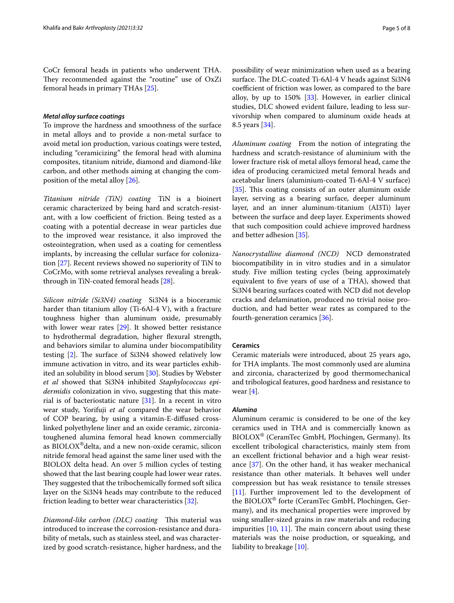CoCr femoral heads in patients who underwent THA. They recommended against the "routine" use of OxZi femoral heads in primary THAs [[25\]](#page-6-24).

#### *Metal alloy surface coatings*

To improve the hardness and smoothness of the surface in metal alloys and to provide a non-metal surface to avoid metal ion production, various coatings were tested, including "ceramicizing" the femoral head with alumina composites, titanium nitride, diamond and diamond-like carbon, and other methods aiming at changing the composition of the metal alloy [\[26](#page-6-25)].

*Titanium nitride (TiN) coating* TiN is a bioinert ceramic characterized by being hard and scratch-resistant, with a low coefficient of friction. Being tested as a coating with a potential decrease in wear particles due to the improved wear resistance, it also improved the osteointegration, when used as a coating for cementless implants, by increasing the cellular surface for colonization [[27\]](#page-6-26). Recent reviews showed no superiority of TiN to CoCrMo, with some retrieval analyses revealing a breakthrough in TiN-coated femoral heads [[28\]](#page-6-27).

*Silicon nitride (Si3N4) coating* Si3N4 is a bioceramic harder than titanium alloy (Ti-6Al-4 V), with a fracture toughness higher than aluminum oxide, presumably with lower wear rates [[29](#page-6-28)]. It showed better resistance to hydrothermal degradation, higher fexural strength, and behaviors similar to alumina under biocompatibility testing  $[2]$  $[2]$ . The surface of Si3N4 showed relatively low immune activation in vitro, and its wear particles exhibited an solubility in blood serum [[30\]](#page-6-29). Studies by Webster *et al* showed that Si3N4 inhibited *Staphylococcus epi‑ dermidis* colonization in vivo, suggesting that this material is of bacteriostatic nature [\[31](#page-7-0)]. In a recent in vitro wear study, Yorifuji *et al* compared the wear behavior of COP bearing, by using a vitamin-E-difused crosslinked polyethylene liner and an oxide ceramic, zirconiatoughened alumina femoral head known commercially as BIOLOX®delta, and a new non-oxide ceramic, silicon nitride femoral head against the same liner used with the BIOLOX delta head. An over 5 million cycles of testing showed that the last bearing couple had lower wear rates. They suggested that the tribochemically formed soft silica layer on the Si3N4 heads may contribute to the reduced friction leading to better wear characteristics [\[32](#page-7-1)].

*Diamond-like carbon (DLC) coating* This material was introduced to increase the corrosion-resistance and durability of metals, such as stainless steel, and was characterized by good scratch-resistance, higher hardness, and the possibility of wear minimization when used as a bearing surface. The DLC-coated Ti-6Al-4 V heads against Si3N4 coefficient of friction was lower, as compared to the bare alloy, by up to 150% [[33](#page-7-2)]. However, in earlier clinical studies, DLC showed evident failure, leading to less survivorship when compared to aluminum oxide heads at 8.5 years [[34](#page-7-3)].

*Aluminum coating* From the notion of integrating the hardness and scratch-resistance of aluminium with the lower fracture risk of metal alloys femoral head, came the idea of producing ceramicized metal femoral heads and acetabular liners (aluminium-coated Ti-6Al-4 V surface) [[35\]](#page-7-4). This coating consists of an outer aluminum oxide layer, serving as a bearing surface, deeper aluminum layer, and an inner aluminum-titanium (Al3Ti) layer between the surface and deep layer. Experiments showed that such composition could achieve improved hardness and better adhesion [\[35\]](#page-7-4).

*Nanocrystalline diamond (NCD)* NCD demonstrated biocompatibility in in vitro studies and in a simulator study. Five million testing cycles (being approximately equivalent to fve years of use of a THA), showed that Si3N4 bearing surfaces coated with NCD did not develop cracks and delamination, produced no trivial noise production, and had better wear rates as compared to the fourth-generation ceramics [[36\]](#page-7-5).

# **Ceramics**

Ceramic materials were introduced, about 25 years ago, for THA implants. The most commonly used are alumina and zirconia, characterized by good thermomechanical and tribological features, good hardness and resistance to wear [[4\]](#page-6-3).

#### *Alumina*

Aluminum ceramic is considered to be one of the key ceramics used in THA and is commercially known as BIOLOX® (CeramTec GmbH, Plochingen, Germany). Its excellent tribological characteristics, mainly stem from an excellent frictional behavior and a high wear resistance [\[37\]](#page-7-6). On the other hand, it has weaker mechanical resistance than other materials. It behaves well under compression but has weak resistance to tensile stresses [[11\]](#page-6-10). Further improvement led to the development of the BIOLOX® forte (CeramTec GmbH, Plochingen, Germany), and its mechanical properties were improved by using smaller-sized grains in raw materials and reducing impurities  $[10, 11]$  $[10, 11]$  $[10, 11]$  $[10, 11]$ . The main concern about using these materials was the noise production, or squeaking, and liability to breakage [[10\]](#page-6-9).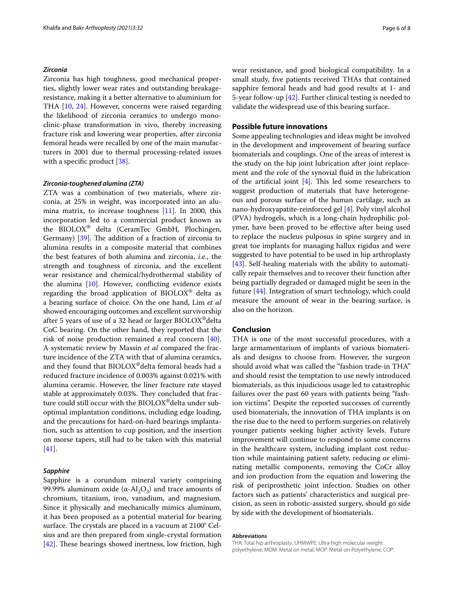#### *Zirconia*

Zirconia has high toughness, good mechanical properties, slightly lower wear rates and outstanding breakageresistance, making it a better alternative to aluminium for THA [[10](#page-6-9), [24\]](#page-6-23). However, concerns were raised regarding the likelihood of zirconia ceramics to undergo monoclinic-phase transformation in vivo, thereby increasing fracture risk and lowering wear properties, after zirconia femoral heads were recalled by one of the main manufacturers in 2001 due to thermal processing-related issues with a specific product [\[38\]](#page-7-7).

#### *Zirconia-toughened alumina (ZTA)*

ZTA was a combination of two materials, where zirconia, at 25% in weight, was incorporated into an alumina matrix, to increase toughness [\[11\]](#page-6-10). In 2000, this incorporation led to a commercial product known as the BIOLOX® delta (CeramTec GmbH, Plochingen, Germany) [[39\]](#page-7-8). The addition of a fraction of zirconia to alumina results in a composite material that combines the best features of both alumina and zirconia, *i*.*e*., the strength and toughness of zirconia, and the excellent wear resistance and chemical/hydrothermal stability of the alumina [[10](#page-6-9)]. However, conficting evidence exists regarding the broad application of  $BIOLOX^{\otimes}$  delta as a bearing surface of choice. On the one hand, Lim *et al* showed encouraging outcomes and excellent survivorship after 5 years of use of a 32 head or larger  $BIOLOX^{\omega}$ delta CoC bearing. On the other hand, they reported that the risk of noise production remained a real concern [\[40](#page-7-9)]. A systematic review by Massin *et al* compared the fracture incidence of the ZTA with that of alumina ceramics, and they found that BIOLOX®delta femoral heads had a reduced fracture incidence of 0.003% against 0.021% with alumina ceramic. However, the liner fracture rate stayed stable at approximately 0.03%. They concluded that fracture could still occur with the BIOLOX®delta under suboptimal implantation conditions, including edge loading, and the precautions for hard-on-hard bearings implantation, such as attention to cup position, and the insertion on morse tapers, still had to be taken with this material [[41\]](#page-7-10).

# *Sapphire*

Sapphire is a corundum mineral variety comprising 99.99% aluminum oxide ( $\alpha$ -Al<sub>2</sub>O<sub>3</sub>) and trace amounts of chromium, titanium, iron, vanadium, and magnesium. Since it physically and mechanically mimics aluminum, it has been proposed as a potential material for bearing surface. The crystals are placed in a vacuum at 2100° Celsius and are then prepared from single-crystal formation  $[42]$  $[42]$ . These bearings showed inertness, low friction, high wear resistance, and good biological compatibility. In a small study, fve patients received THAs that contained sapphire femoral heads and had good results at 1- and 5-year follow-up  $[42]$  $[42]$ . Further clinical testing is needed to validate the widespread use of this bearing surface.

# **Possible future innovations**

Some appealing technologies and ideas might be involved in the development and improvement of bearing surface biomaterials and couplings. One of the areas of interest is the study on the hip joint lubrication after joint replacement and the role of the synovial fuid in the lubrication of the artificial joint  $[4]$  $[4]$  $[4]$ . This led some researchers to suggest production of materials that have heterogeneous and porous surface of the human cartilage, such as nano-hydroxyapatite-reinforced gel [[4\]](#page-6-3). Poly vinyl alcohol (PVA) hydrogels, which is a long-chain hydrophilic polymer, have been proved to be efective after being used to replace the nucleus pulposus in spine surgery and in great toe implants for managing hallux rigidus and were suggested to have potential to be used in hip arthroplasty [[43\]](#page-7-12). Self-healing materials with the ability to automatically repair themselves and to recover their function after being partially degraded or damaged might be seen in the future [[44](#page-7-13)]. Integration of smart technology, which could measure the amount of wear in the bearing surface, is also on the horizon.

#### **Conclusion**

THA is one of the most successful procedures, with a large armamentarium of implants of various biomaterials and designs to choose from. However, the surgeon should avoid what was called the "fashion trade-in THA" and should resist the temptation to use newly introduced biomaterials, as this injudicious usage led to catastrophic failures over the past 60 years with patients being "fashion victims". Despite the reported successes of currently used biomaterials, the innovation of THA implants is on the rise due to the need to perform surgeries on relatively younger patients seeking higher activity levels. Future improvement will continue to respond to some concerns in the healthcare system, including implant cost reduction while maintaining patient safety, reducing or eliminating metallic components, removing the CoCr alloy and ion production from the equation and lowering the risk of periprosthetic joint infection. Studies on other factors such as patients' characteristics and surgical precision, as seen in robotic-assisted surgery, should go side by side with the development of biomaterials.

#### **Abbreviations**

THA: Total hip arthroplasty; UHMWPE: Ultra-high molecular weight polyethylene; MOM: Metal on metal; MOP: Metal-on-Polyethylene; COP: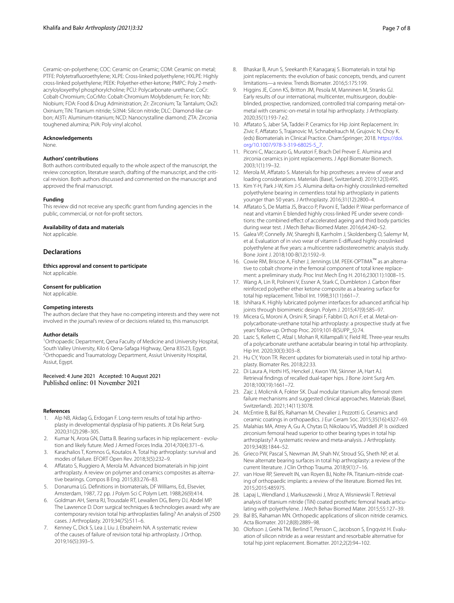Ceramic-on-polyethene; COC: Ceramic on Ceramic; COM: Ceramic on metal; PTFE: Polytetrafuoroethylene; XLPE: Cross-linked polyethylene; HXLPE: Highly cross-linked polyethylene; PEEK: Polyether-ether-ketone; PMPC: Poly 2-methacryloyloxyethyl phosphorylcholine; PCU: Polycarbonate-urethane; CoCr: Cobalt-Chromium; CoCrMo: Cobalt-Chromium Molybdenum; Fe: Iron; Nb: Niobium; FDA: Food & Drug Administration; Zr: Zirconium; Ta: Tantalum; OxZi: Oxinium; TiN: Titanium nitride; Si3N4: Silicon nitride; DLC: Diamond-like car‑ bon; Al3Ti: Aluminum-titanium; NCD: Nanocrystalline diamond; ZTA: Zirconia toughened alumina; PVA: Poly vinyl alcohol.

#### **Acknowledgements**

None.

#### **Authors' contributions**

Both authors contributed equally to the whole aspect of the manuscript, the review conception, literature search, drafting of the manuscript, and the critical revision. Both authors discussed and commented on the manuscript and approved the fnal manuscript.

#### **Funding**

This review did not receive any specifc grant from funding agencies in the public, commercial, or not-for-proft sectors.

#### **Availability of data and materials**

Not applicable.

#### **Declarations**

**Ethics approval and consent to participate** Not applicable.

#### **Consent for publication**

Not applicable.

#### **Competing interests**

The authors declare that they have no competing interests and they were not involved in the journal's review of or decisions related to, this manuscript.

#### **Author details**

<sup>1</sup> Orthopaedic Department, Qena Faculty of Medicine and University Hospital, South Valley University, Kilo 6 Qena-Safaga Highway, Qena 83523, Egypt. <sup>2</sup> Orthopaedic and Traumatology Department, Assiut University Hospital, Assiut, Egypt.

# Received: 4 June 2021 Accepted: 10 August 2021

#### **References**

- <span id="page-6-0"></span>1. Alp NB, Akdag G, Erdogan F. Long-term results of total hip arthroplasty in developmental dysplasia of hip patients. Jt Dis Relat Surg. 2020;31(2):298–305.
- <span id="page-6-1"></span>2. Kumar N, Arora GN, Datta B. Bearing surfaces in hip replacement - evolution and likely future. Med J Armed Forces India. 2014;70(4):371–6.
- <span id="page-6-2"></span>3. Karachalios T, Komnos G, Koutalos A. Total hip arthroplasty: survival and modes of failure. EFORT Open Rev. 2018;3(5):232–9.
- <span id="page-6-3"></span>4. Afatato S, Ruggiero A, Merola M. Advanced biomaterials in hip joint arthroplasty. A review on polymer and ceramics composites as alternative bearings. Compos B Eng. 2015;83:276–83.
- <span id="page-6-4"></span>5. Donaruma LG. Defnitions in biomaterials, DF Williams, Ed., Elsevier, Amsterdam, 1987, 72 pp. J Polym Sci C Polym Lett. 1988;26(9):414.
- <span id="page-6-5"></span>6. Goldman AH, Sierra RJ, Trousdale RT, Lewallen DG, Berry DJ, Abdel MP. The Lawrence D. Dorr surgical techniques & technologies award: why are contemporary revision total hip arthroplasties failing? An analysis of 2500 cases. J Arthroplasty. 2019;34(7S):S11–6.
- <span id="page-6-6"></span>7. Kenney C, Dick S, Lea J, Liu J, Ebraheim NA. A systematic review of the causes of failure of revision total hip arthroplasty. J Orthop. 2019;16(5):393–5.
- <span id="page-6-7"></span>8. Bhaskar B, Arun S, Sreekanth P, Kanagaraj S. Biomaterials in total hip joint replacements: the evolution of basic concepts, trends, and current limitations—a review. Trends Biomater. 2016;5:175:199.
- <span id="page-6-8"></span>9. Higgins JE, Conn KS, Britton JM, Pesola M, Manninen M, Stranks GJ. Early results of our international, multicenter, multisurgeon, doubleblinded, prospective, randomized, controlled trial comparing metal-onmetal with ceramic-on-metal in total hip arthroplasty. J Arthroplasty. 2020;35(1):193-7.e2.
- <span id="page-6-9"></span>10. Affatato S, Jaber SA, Taddei P. Ceramics for Hip Joint Replacement. In: Zivic F, Afatato S, Trajanovic M, Schnabelrauch M, Grujovic N, Choy K. (eds) Biomaterials in Clinical Practice. Cham:Springer; 2018. [https://doi.](https://doi.org/10.1007/978-3-319-68025-5_7) [org/10.1007/978-3-319-68025-5\\_7](https://doi.org/10.1007/978-3-319-68025-5_7).
- <span id="page-6-10"></span>11. Piconi C, Maccauro G, Muratori F, Brach Del Prever E. Alumina and zirconia ceramics in joint replacements. J Appl Biomater Biomech. 2003;1(1):19–32.
- <span id="page-6-11"></span>12. Merola M, Affatato S. Materials for hip prostheses: a review of wear and loading considerations. Materials (Basel, Switzerland). 2019;12(3):495.
- <span id="page-6-12"></span>13. Kim Y-H, Park J-W, Kim J-S. Alumina delta-on-highly crosslinked-remelted polyethylene bearing in cementless total hip arthroplasty in patients younger than 50 years. J Arthroplasty. 2016;31(12):2800–4.
- <span id="page-6-13"></span>14. Afatato S, De Mattia JS, Bracco P, Pavoni E, Taddei P. Wear performance of neat and vitamin E blended highly cross-linked PE under severe conditions: the combined efect of accelerated ageing and third body particles during wear test. J Mech Behav Biomed Mater. 2016;64:240–52.
- <span id="page-6-14"></span>15. Galea VP, Connelly JW, Shareghi B, Karrholm J, Skoldenberg O, Salemyr M, et al. Evaluation of in vivo wear of vitamin E-difused highly crosslinked polyethylene at fve years: a multicentre radiostereometric analysis study. Bone Joint J. 2018;100-B(12):1592–9.
- <span id="page-6-15"></span>16. Cowie RM, Briscoe A, Fisher J, Jennings LM. PEEK-OPTIMA™ as an alterna‑ tive to cobalt chrome in the femoral component of total knee replacement: a preliminary study. Proc Inst Mech Eng H. 2016;230(11):1008–15.
- <span id="page-6-16"></span>17. Wang A, Lin R, Polineni V, Essner A, Stark C, Dumbleton J. Carbon fiber reinforced polyether ether ketone composite as a bearing surface for total hip replacement. Tribol Int. 1998;31(11):661–7.
- <span id="page-6-17"></span>18. Ishihara K. Highly lubricated polymer interfaces for advanced artifcial hip joints through biomimetic design. Polym J. 2015;47(9):585-97.
- <span id="page-6-18"></span>19. Micera G, Moroni A, Orsini R, Sinapi F, Fabbri D, Acri F, et al. Metal-onpolycarbonate-urethane total hip arthroplasty: a prospective study at fve years' follow-up. Orthop Proc. 2019;101-B(SUPP\_5):74.
- <span id="page-6-19"></span>20. Lazic S, Kellett C, Afzal I, Mohan R, Killampalli V, Field RE. Three-year results of a polycarbonate urethane acetabular bearing in total hip arthroplasty. Hip Int. 2020;30(3):303–8.
- <span id="page-6-20"></span>21. Hu CY, Yoon TR. Recent updates for biomaterials used in total hip arthroplasty. Biomater Res. 2018;22:33.
- <span id="page-6-21"></span>22. Di Laura A, Hothi HS, Henckel J, Kwon YM, Skinner JA, Hart AJ. Retrieval fndings of recalled dual-taper hips. J Bone Joint Surg Am. 2018;100(19):1661–72.
- <span id="page-6-22"></span>23. Zajc J, Molicnik A, Fokter SK. Dual modular titanium alloy femoral stem failure mechanisms and suggested clinical approaches. Materials (Basel, Switzerland). 2021;14(11):3078.
- <span id="page-6-23"></span>24. McEntire B, Bal BS, Rahaman M, Chevalier J, Pezzotti G. Ceramics and ceramic coatings in orthopaedics. J Eur Ceram Soc. 2015;35(16):4327–69.
- <span id="page-6-24"></span>25. Malahias MA, Atrey A, Gu A, Chytas D, Nikolaou VS, Waddell JP. Is oxidized zirconium femoral head superior to other bearing types in total hip arthroplasty? A systematic review and meta-analysis. J Arthroplasty. 2019;34(8):1844–52.
- <span id="page-6-25"></span>26. Grieco PW, Pascal S, Newman JM, Shah NV, Stroud SG, Sheth NP, et al. New alternate bearing surfaces in total hip arthroplasty: a review of the current literature. J Clin Orthop Trauma. 2018;9(1):7–16.
- <span id="page-6-26"></span>27. van Hove RP, Sierevelt IN, van Royen BJ, Nolte PA. Titanium-nitride coating of orthopaedic implants: a review of the literature. Biomed Res Int. 2015;2015:485975.
- <span id="page-6-27"></span>28. Lapaj L, Wendland J, Markuszewski J, Mroz A, Wisniewski T. Retrieval analysis of titanium nitride (TiN) coated prosthetic femoral heads articulating with polyethylene. J Mech Behav Biomed Mater. 2015;55:127–39.
- <span id="page-6-28"></span>29. Bal BS, Rahaman MN. Orthopedic applications of silicon nitride ceramics. Acta Biomater. 2012;8(8):2889–98.
- <span id="page-6-29"></span>30. Olofsson J, Grehk TM, Berlind T, Persson C, Jacobson S, Engqvist H. Evaluation of silicon nitride as a wear resistant and resorbable alternative for total hip joint replacement. Biomatter. 2012;2(2):94–102.